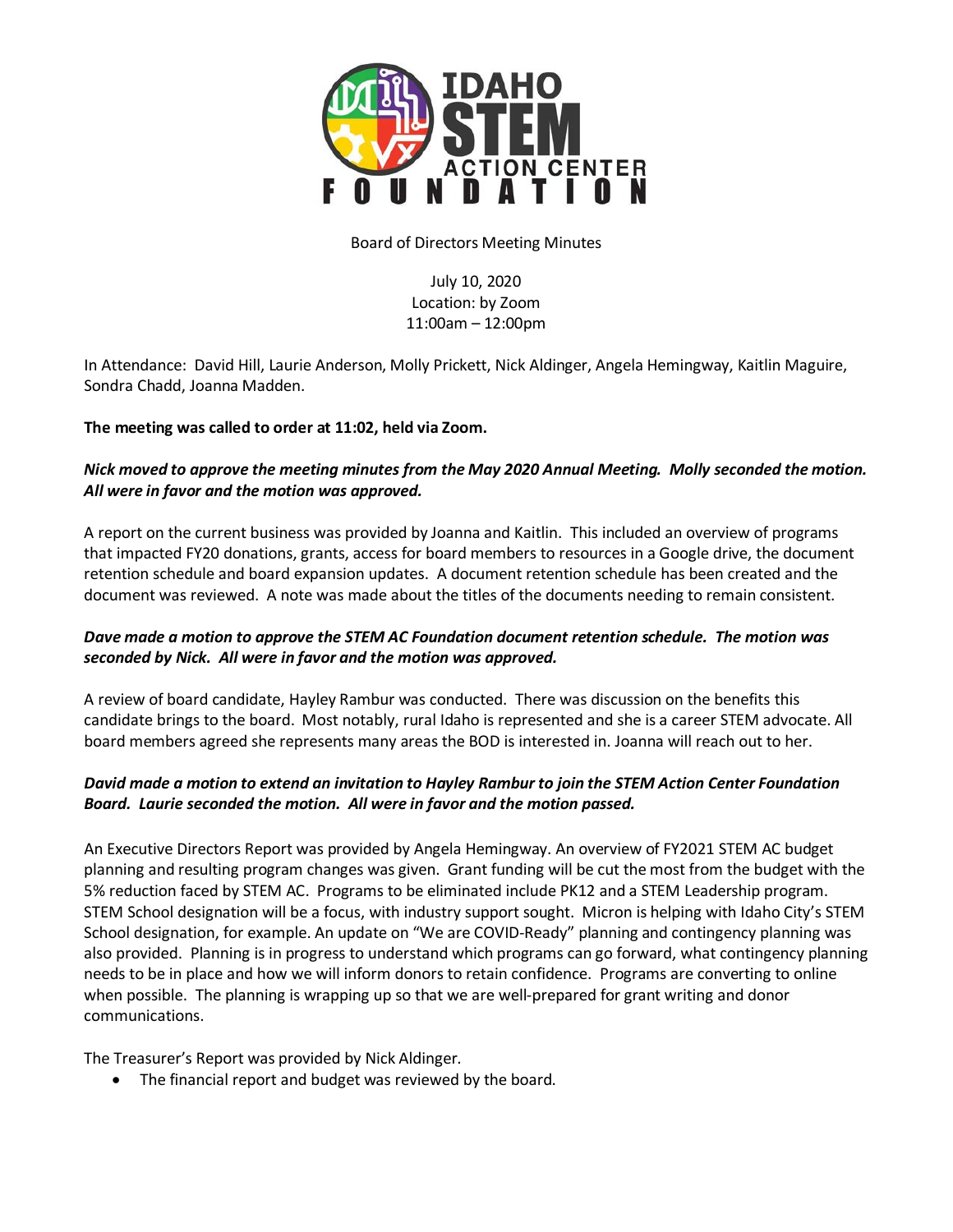

#### Board of Directors Meeting Minutes

July 10, 2020 Location: by Zoom 11:00am – 12:00pm

In Attendance: David Hill, Laurie Anderson, Molly Prickett, Nick Aldinger, Angela Hemingway, Kaitlin Maguire, Sondra Chadd, Joanna Madden.

### **The meeting was called to order at 11:02, held via Zoom.**

## *Nick moved to approve the meeting minutes from the May 2020 Annual Meeting. Molly seconded the motion. All were in favor and the motion was approved.*

A report on the current business was provided by Joanna and Kaitlin. This included an overview of programs that impacted FY20 donations, grants, access for board members to resources in a Google drive, the document retention schedule and board expansion updates. A document retention schedule has been created and the document was reviewed. A note was made about the titles of the documents needing to remain consistent.

### *Dave made a motion to approve the STEM AC Foundation document retention schedule. The motion was seconded by Nick. All were in favor and the motion was approved.*

A review of board candidate, Hayley Rambur was conducted. There was discussion on the benefits this candidate brings to the board. Most notably, rural Idaho is represented and she is a career STEM advocate. All board members agreed she represents many areas the BOD is interested in. Joanna will reach out to her.

# *David made a motion to extend an invitation to Hayley Rambur to join the STEM Action Center Foundation Board. Laurie seconded the motion. All were in favor and the motion passed.*

An Executive Directors Report was provided by Angela Hemingway. An overview of FY2021 STEM AC budget planning and resulting program changes was given. Grant funding will be cut the most from the budget with the 5% reduction faced by STEM AC. Programs to be eliminated include PK12 and a STEM Leadership program. STEM School designation will be a focus, with industry support sought. Micron is helping with Idaho City's STEM School designation, for example. An update on "We are COVID-Ready" planning and contingency planning was also provided. Planning is in progress to understand which programs can go forward, what contingency planning needs to be in place and how we will inform donors to retain confidence. Programs are converting to online when possible. The planning is wrapping up so that we are well-prepared for grant writing and donor communications.

The Treasurer's Report was provided by Nick Aldinger.

• The financial report and budget was reviewed by the board.